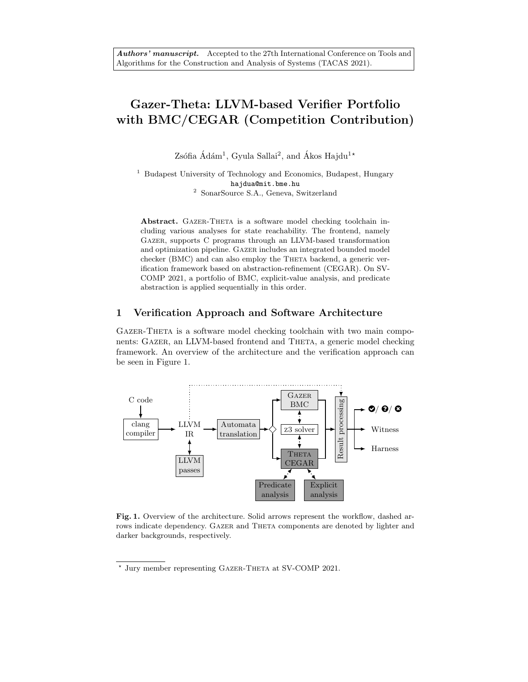# Gazer-Theta: LLVM-based Verifier Portfolio with BMC/CEGAR (Competition Contribution)

Zsófia Ádám<sup>1</sup>, Gyula Sallai<sup>2</sup>, and Ákos Hajdu<sup>1\*</sup>

<sup>1</sup> Budapest University of Technology and Economics, Budapest, Hungary hajdua@mit.bme.hu <sup>2</sup> SonarSource S.A., Geneva, Switzerland

Abstract. GAZER-THETA is a software model checking toolchain including various analyses for state reachability. The frontend, namely Gazer, supports C programs through an LLVM-based transformation and optimization pipeline. Gazer includes an integrated bounded model checker (BMC) and can also employ the THETA backend, a generic verification framework based on abstraction-refinement (CEGAR). On SV-COMP 2021, a portfolio of BMC, explicit-value analysis, and predicate abstraction is applied sequentially in this order.

#### 1 Verification Approach and Software Architecture

Gazer-Theta is a software model checking toolchain with two main components: GAZER, an LLVM-based frontend and THETA, a generic model checking framework. An overview of the architecture and the verification approach can be seen in Figure 1.



Fig. 1. Overview of the architecture. Solid arrows represent the workflow, dashed arrows indicate dependency. GAZER and THETA components are denoted by lighter and darker backgrounds, respectively.

<sup>\*</sup> Jury member representing GAZER-THETA at SV-COMP 2021.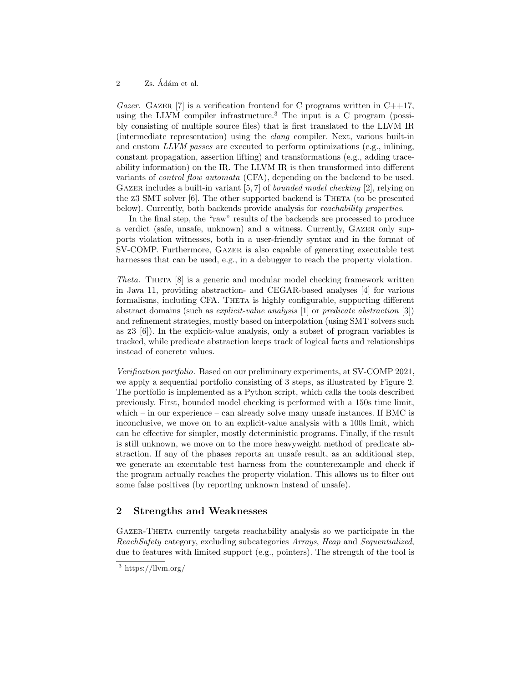#### 2 Zs. Ádám et al.

Gazer. GAZER [7] is a verification frontend for C programs written in  $C++17$ , using the LLVM compiler infrastructure.<sup>3</sup> The input is a C program (possibly consisting of multiple source files) that is first translated to the LLVM IR (intermediate representation) using the clang compiler. Next, various built-in and custom LLVM passes are executed to perform optimizations (e.g., inlining, constant propagation, assertion lifting) and transformations (e.g., adding traceability information) on the IR. The LLVM IR is then transformed into different variants of control flow automata (CFA), depending on the backend to be used. GAZER includes a built-in variant [5, 7] of *bounded model checking* [2], relying on the  $z3$  SMT solver  $[6]$ . The other supported backend is THETA (to be presented below). Currently, both backends provide analysis for *reachability properties*.

In the final step, the "raw" results of the backends are processed to produce a verdict (safe, unsafe, unknown) and a witness. Currently, Gazer only supports violation witnesses, both in a user-friendly syntax and in the format of SV-COMP. Furthermore, Gazer is also capable of generating executable test harnesses that can be used, e.g., in a debugger to reach the property violation.

Theta. THETA [8] is a generic and modular model checking framework written in Java 11, providing abstraction- and CEGAR-based analyses [4] for various formalisms, including CFA. THETA is highly configurable, supporting different abstract domains (such as explicit-value analysis [1] or predicate abstraction [3]) and refinement strategies, mostly based on interpolation (using SMT solvers such as z3 [6]). In the explicit-value analysis, only a subset of program variables is tracked, while predicate abstraction keeps track of logical facts and relationships instead of concrete values.

Verification portfolio. Based on our preliminary experiments, at SV-COMP 2021, we apply a sequential portfolio consisting of 3 steps, as illustrated by Figure 2. The portfolio is implemented as a Python script, which calls the tools described previously. First, bounded model checking is performed with a 150s time limit, which – in our experience – can already solve many unsafe instances. If BMC is inconclusive, we move on to an explicit-value analysis with a 100s limit, which can be effective for simpler, mostly deterministic programs. Finally, if the result is still unknown, we move on to the more heavyweight method of predicate abstraction. If any of the phases reports an unsafe result, as an additional step, we generate an executable test harness from the counterexample and check if the program actually reaches the property violation. This allows us to filter out some false positives (by reporting unknown instead of unsafe).

## 2 Strengths and Weaknesses

Gazer-Theta currently targets reachability analysis so we participate in the ReachSafety category, excluding subcategories Arrays, Heap and Sequentialized, due to features with limited support (e.g., pointers). The strength of the tool is

<sup>3</sup> https://llvm.org/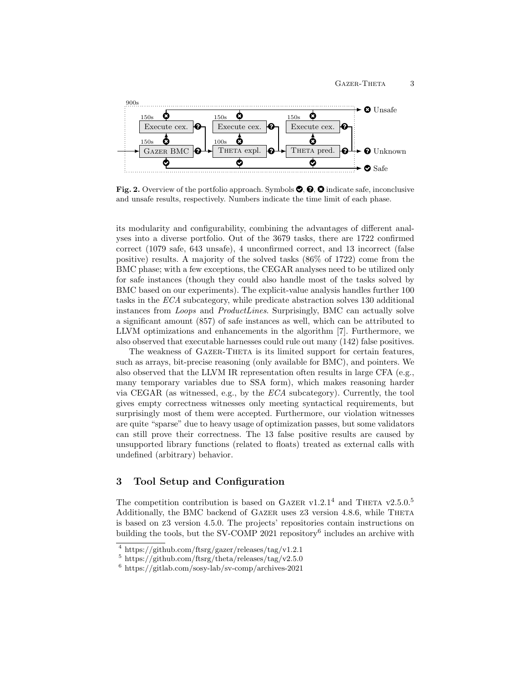

Fig. 2. Overview of the portfolio approach. Symbols  $\mathcal{O}, \mathcal{O}, \mathcal{O}$  indicate safe, inconclusive and unsafe results, respectively. Numbers indicate the time limit of each phase.

its modularity and configurability, combining the advantages of different analyses into a diverse portfolio. Out of the 3679 tasks, there are 1722 confirmed correct (1079 safe, 643 unsafe), 4 unconfirmed correct, and 13 incorrect (false positive) results. A majority of the solved tasks (86% of 1722) come from the BMC phase; with a few exceptions, the CEGAR analyses need to be utilized only for safe instances (though they could also handle most of the tasks solved by BMC based on our experiments). The explicit-value analysis handles further 100 tasks in the ECA subcategory, while predicate abstraction solves 130 additional instances from *Loops* and *ProductLines*. Surprisingly, BMC can actually solve a significant amount (857) of safe instances as well, which can be attributed to LLVM optimizations and enhancements in the algorithm [7]. Furthermore, we also observed that executable harnesses could rule out many (142) false positives.

The weakness of GAZER-THETA is its limited support for certain features, such as arrays, bit-precise reasoning (only available for BMC), and pointers. We also observed that the LLVM IR representation often results in large CFA (e.g., many temporary variables due to SSA form), which makes reasoning harder via CEGAR (as witnessed, e.g., by the ECA subcategory). Currently, the tool gives empty correctness witnesses only meeting syntactical requirements, but surprisingly most of them were accepted. Furthermore, our violation witnesses are quite "sparse" due to heavy usage of optimization passes, but some validators can still prove their correctness. The 13 false positive results are caused by unsupported library functions (related to floats) treated as external calls with undefined (arbitrary) behavior.

# 3 Tool Setup and Configuration

The competition contribution is based on GAZER v1.2.1<sup>4</sup> and THETA v2.5.0.<sup>5</sup> Additionally, the BMC backend of GAZER uses  $Z3$  version 4.8.6, while THETA is based on z3 version 4.5.0. The projects' repositories contain instructions on building the tools, but the SV-COMP 2021 repository<sup>6</sup> includes an archive with

<sup>4</sup> https://github.com/ftsrg/gazer/releases/tag/v1.2.1

 $5 \text{ https://github.com/ffsrg/theta/release/tag/v2.5.0}$ 

<sup>6</sup> https://gitlab.com/sosy-lab/sv-comp/archives-2021